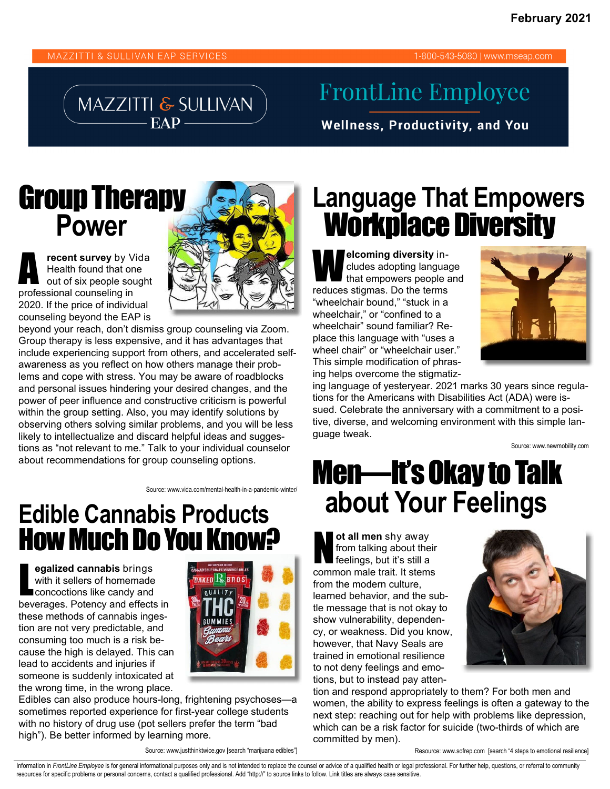1-800-543-5080 | www.mseap.com

#### MAZZITTI & SULLIVAN EAP

#### **FrontLine Employee**

**Wellness, Productivity, and You** 

#### Group Therapy  **Power**

A **recent survey** by Vida Health found that one out of six people sought professional counseling in 2020. If the price of individual counseling beyond the EAP is



beyond your reach, don't dismiss group counseling via Zoom. Group therapy is less expensive, and it has advantages that include experiencing support from others, and accelerated selfawareness as you reflect on how others manage their problems and cope with stress. You may be aware of roadblocks and personal issues hindering your desired changes, and the power of peer influence and constructive criticism is powerful within the group setting. Also, you may identify solutions by observing others solving similar problems, and you will be less likely to intellectualize and discard helpful ideas and suggestions as "not relevant to me." Talk to your individual counselor about recommendations for group counseling options.

#### **Language That Empowers** Workplace Diversity

**elcoming diversity in**cludes adopting language that empowers people and reduces stigmas. Do the terms "wheelchair bound," "stuck in a wheelchair," or "confined to a wheelchair" sound familiar? Replace this language with "uses a wheel chair" or "wheelchair user." This simple modification of phrasing helps overcome the stigmatiz-



ing language of yesteryear. 2021 marks 30 years since regulations for the Americans with Disabilities Act (ADA) were issued. Celebrate the anniversary with a commitment to a positive, diverse, and welcoming environment with this simple language tweak.

Source: www.newmobility.com

# Men—It's Okay to Talk **about Your Feelings**

ot all men shy away<br>from talking about the<br>feelings, but it's still a from talking about their feelings, but it's still a common male trait. It stems from the modern culture, learned behavior, and the subtle message that is not okay to show vulnerability, dependency, or weakness. Did you know, however, that Navy Seals are trained in emotional resilience to not deny feelings and emotions, but to instead pay atten-



tion and respond appropriately to them? For both men and women, the ability to express feelings is often a gateway to the next step: reaching out for help with problems like depression, which can be a risk factor for suicide (two-thirds of which are committed by men).

Resource: www.sofrep.com [search "4 steps to emotional resilience]

**Edible Cannabis Products**  How Much Do You Know?

L **egalized cannabis** brings with it sellers of homemade concoctions like candy and beverages. Potency and effects in these methods of cannabis ingestion are not very predictable, and consuming too much is a risk because the high is delayed. This can lead to accidents and injuries if someone is suddenly intoxicated at the wrong time, in the wrong place.



Source: www.vida.com/mental-health-in-a-pandemic-winter/

Edibles can also produce hours-long, frightening psychoses—a sometimes reported experience for first-year college students with no history of drug use (pot sellers prefer the term "bad high"). Be better informed by learning more.

Source: www.justthinktwice.gov [search "marijuana edibles"]

Information in FrontLine Employee is for general informational purposes only and is not intended to replace the counsel or advice of a qualified health or legal professional. For further help, questions, or referral to com resources for specific problems or personal concerns, contact a qualified professional. Add "http://" to source links to follow. Link titles are always case sensitive.